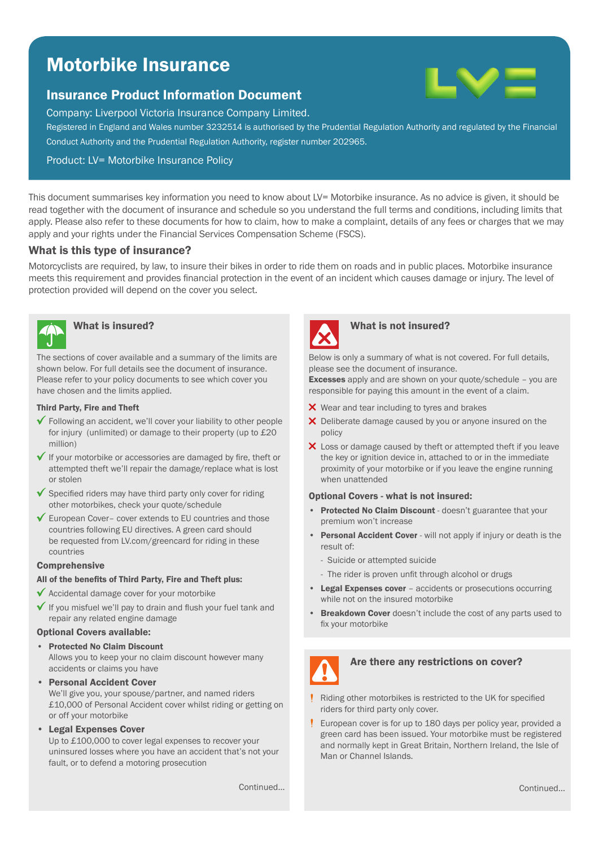# Motorbike Insurance

## Insurance Product Information Document



Company: Liverpool Victoria Insurance Company Limited.

Registered in England and Wales number 3232514 is authorised by the Prudential Regulation Authority and regulated by the Financial Conduct Authority and the Prudential Regulation Authority, register number 202965.

Product: LV= Motorbike Insurance Policy

This document summarises key information you need to know about LV= Motorbike insurance. As no advice is given, it should be read together with the document of insurance and schedule so you understand the full terms and conditions, including limits that apply. Please also refer to these documents for how to claim, how to make a complaint, details of any fees or charges that we may apply and your rights under the Financial Services Compensation Scheme (FSCS).

## What is this type of insurance?

Motorcyclists are required, by law, to insure their bikes in order to ride them on roads and in public places. Motorbike insurance meets this requirement and provides financial protection in the event of an incident which causes damage or injury. The level of protection provided will depend on the cover you select.



The sections of cover available and a summary of the limits are shown below. For full details see the document of insurance. Please refer to your policy documents to see which cover you have chosen and the limits applied.

## Third Party, Fire and Theft

- Following an accident, we'll cover your liability to other people for injury (unlimited) or damage to their property (up to £20 million)
- $\checkmark$  If your motorbike or accessories are damaged by fire, theft or attempted theft we'll repair the damage/replace what is lost or stolen
- $\checkmark$  Specified riders may have third party only cover for riding other motorbikes, check your quote/schedule
- $\checkmark$  European Cover– cover extends to EU countries and those countries following EU directives. A green card should be requested from LV.com/greencard for riding in these countries

## **Comprehensive**

## All of the benefits of Third Party, Fire and Theft plus:

- $\checkmark$  Accidental damage cover for your motorbike
- $\checkmark$  If you misfuel we'll pay to drain and flush your fuel tank and repair any related engine damage

## Optional Covers available:

## • Protected No Claim Discount

Allows you to keep your no claim discount however many accidents or claims you have

• Personal Accident Cover

We'll give you, your spouse/partner, and named riders £10,000 of Personal Accident cover whilst riding or getting on or off your motorbike

• Legal Expenses Cover

Up to £100,000 to cover legal expenses to recover your uninsured losses where you have an accident that's not your fault, or to defend a motoring prosecution

## What is insured? What is not insured?

Below is only a summary of what is not covered. For full details, please see the document of insurance.

Excesses apply and are shown on your quote/schedule - you are responsible for paying this amount in the event of a claim.

- X Wear and tear including to tyres and brakes
- X Deliberate damage caused by you or anyone insured on the policy
- X Loss or damage caused by theft or attempted theft if you leave the key or ignition device in, attached to or in the immediate proximity of your motorbike or if you leave the engine running when unattended

### Optional Covers - what is not insured:

- Protected No Claim Discount doesn't guarantee that your premium won't increase
- Personal Accident Cover will not apply if injury or death is the result of:
	- Suicide or attempted suicide
	- The rider is proven unfit through alcohol or drugs
- Legal Expenses cover accidents or prosecutions occurring while not on the insured motorbike
- Breakdown Cover doesn't include the cost of any parts used to fix your motorbike



## Are there any restrictions on cover?

- Riding other motorbikes is restricted to the UK for specified riders for third party only cover.
- European cover is for up to 180 days per policy year, provided a green card has been issued. Your motorbike must be registered and normally kept in Great Britain, Northern Ireland, the Isle of Man or Channel Islands.

Continued...